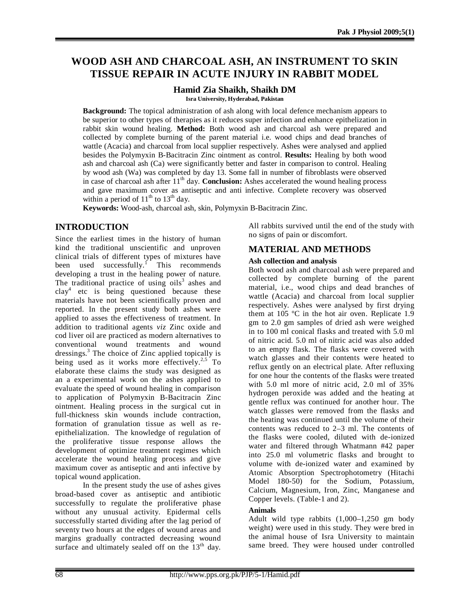# **WOOD ASH AND CHARCOAL ASH, AN INSTRUMENT TO SKIN TISSUE REPAIR IN ACUTE INJURY IN RABBIT MODEL**

### **Hamid Zia Shaikh, Shaikh DM**

**Isra University, Hyderabad, Pakistan**

**Background:** The topical administration of ash along with local defence mechanism appears to be superior to other types of therapies as it reduces super infection and enhance epithelization in rabbit skin wound healing. **Method:** Both wood ash and charcoal ash were prepared and collected by complete burning of the parent material i.e. wood chips and dead branches of wattle (Acacia) and charcoal from local supplier respectively. Ashes were analysed and applied besides the Polymyxin B-Bacitracin Zinc ointment as control. **Results:** Healing by both wood ash and charcoal ash (Ca) were significantly better and faster in comparison to control. Healing by wood ash (Wa) was completed by day 13. Some fall in number of fibroblasts were observed in case of charcoal ash after  $11<sup>th</sup>$  day. **Conclusion:** Ashes accelerated the wound healing process and gave maximum cover as antiseptic and anti infective. Complete recovery was observed within a period of  $11<sup>th</sup>$  to  $13<sup>th</sup>$  day.

**Keywords:** Wood-ash, charcoal ash, skin, Polymyxin B-Bacitracin Zinc.

## **INTRODUCTION**

Since the earliest times in the history of human kind the traditional unscientific and unproven clinical trials of different types of mixtures have been used successfully.<sup>1</sup> This recommends developing a trust in the healing power of nature. The traditional practice of using  $oils^3$  ashes and clay<sup>4</sup> etc is being questioned because these materials have not been scientifically proven and reported. In the present study both ashes were applied to asses the effectiveness of treatment. In addition to traditional agents *viz* Zinc oxide and cod liver oil are practiced as modern alternatives to conventional wound treatments and wound dressings. 3 The choice of Zinc applied topically is being used as it works more effectively.<sup>2,5</sup> To elaborate these claims the study was designed as an a experimental work on the ashes applied to evaluate the speed of wound healing in comparison to application of Polymyxin B-Bacitracin Zinc ointment. Healing process in the surgical cut in full-thickness skin wounds include contraction, formation of granulation tissue as well as reepithelialization. The knowledge of regulation of the proliferative tissue response allows the development of optimize treatment regimes which accelerate the wound healing process and give maximum cover as antiseptic and anti infective by topical wound application.

In the present study the use of ashes gives broad-based cover as antiseptic and antibiotic successfully to regulate the proliferative phase without any unusual activity. Epidermal cells successfully started dividing after the lag period of seventy two hours at the edges of wound areas and margins gradually contracted decreasing wound surface and ultimately sealed off on the  $13<sup>th</sup>$  day. All rabbits survived until the end of the study with no signs of pain or discomfort.

## **MATERIAL AND METHODS**

### **Ash collection and analysis**

Both wood ash and charcoal ash were prepared and collected by complete burning of the parent material, i.e., wood chips and dead branches of wattle (Acacia) and charcoal from local supplier respectively. Ashes were analysed by first drying them at 105 ºC in the hot air oven. Replicate 1.9 gm to 2.0 gm samples of dried ash were weighed in to 100 ml conical flasks and treated with 5.0 ml of nitric acid. 5.0 ml of nitric acid was also added to an empty flask. The flasks were covered with watch glasses and their contents were heated to reflux gently on an electrical plate. After refluxing for one hour the contents of the flasks were treated with 5.0 ml more of nitric acid, 2.0 ml of 35% hydrogen peroxide was added and the heating at gentle reflux was continued for another hour. The watch glasses were removed from the flasks and the heating was continued until the volume of their contents was reduced to 2–3 ml. The contents of the flasks were cooled, diluted with de-ionized water and filtered through Whatmann #42 paper into 25.0 ml volumetric flasks and brought to volume with de-ionized water and examined by Atomic Absorption Spectrophotometry (Hitachi Model 180-50) for the Sodium, Potassium, Calcium, Magnesium, Iron, Zinc, Manganese and Copper levels. (Table-1 and 2).

### **Animals**

Adult wild type rabbits (1,000–1,250 gm body weight) were used in this study. They were bred in the animal house of Isra University to maintain same breed. They were housed under controlled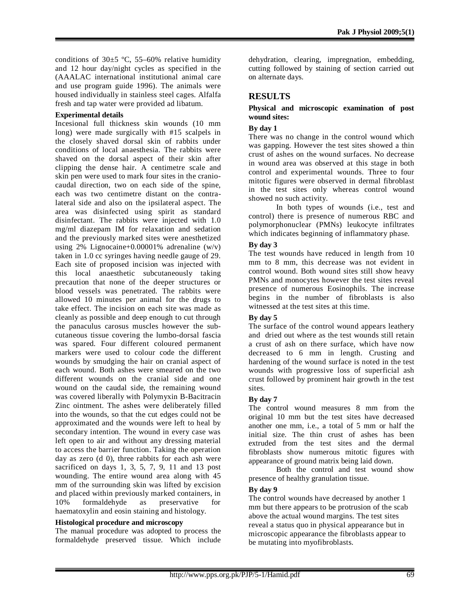conditions of  $30\pm5$  °C, 55–60% relative humidity and 12 hour day/night cycles as specified in the (AAALAC international institutional animal care and use program guide 1996). The animals were housed individually in stainless steel cages. Alfalfa fresh and tap water were provided ad libatum.

#### **Experimental details**

Incesional full thickness skin wounds (10 mm long) were made surgically with #15 scalpels in the closely shaved dorsal skin of rabbits under conditions of local anaesthesia. The rabbits were shaved on the dorsal aspect of their skin after clipping the dense hair. A centimetre scale and skin pen were used to mark four sites in the craniocaudal direction, two on each side of the spine, each was two centimetre distant on the contralateral side and also on the ipsilateral aspect. The area was disinfected using spirit as standard disinfectant. The rabbits were injected with 1.0 mg/ml diazepam IM for relaxation and sedation and the previously marked sites were anesthetized using  $2\%$  Lignocaine+0.00001% adrenaline  $(w/v)$ taken in 1.0 cc syringes having needle gauge of 29. Each site of proposed incision was injected with this local anaesthetic subcutaneously taking precaution that none of the deeper structures or blood vessels was penetrated. The rabbits were allowed 10 minutes per animal for the drugs to take effect. The incision on each site was made as cleanly as possible and deep enough to cut through the panaculus carosus muscles however the subcutaneous tissue covering the lumbo-dorsal fascia was spared. Four different coloured permanent markers were used to colour code the different wounds by smudging the hair on cranial aspect of each wound. Both ashes were smeared on the two different wounds on the cranial side and one wound on the caudal side, the remaining wound was covered liberally with Polymyxin B-Bacitracin Zinc ointment. The ashes were deliberately filled into the wounds, so that the cut edges could not be approximated and the wounds were left to heal by secondary intention. The wound in every case was left open to air and without any dressing material to access the barrier function. Taking the operation day as zero (d 0), three rabbits for each ash were sacrificed on days 1, 3, 5, 7, 9, 11 and 13 post wounding. The entire wound area along with 45 mm of the surrounding skin was lifted by excision and placed within previously marked containers, in<br>10% formaldehyde as preservative for formaldehyde as preservative for haematoxylin and eosin staining and histology.

### **Histological procedure and microscopy**

The manual procedure was adopted to process the formaldehyde preserved tissue. Which include dehydration, clearing, impregnation, embedding, cutting followed by staining of section carried out on alternate days.

### **RESULTS**

#### **Physical and microscopic examination of post wound sites:**

### **By day 1**

There was no change in the control wound which was gapping. However the test sites showed a thin crust of ashes on the wound surfaces. No decrease in wound area was observed at this stage in both control and experimental wounds. Three to four mitotic figures were observed in dermal fibroblast in the test sites only whereas control wound showed no such activity.

In both types of wounds (i.e., test and control) there is presence of numerous RBC and polymorphonuclear (PMNs) leukocyte infiltrates which indicates beginning of inflammatory phase.

### **By day 3**

The test wounds have reduced in length from 10 mm to 8 mm, this decrease was not evident in control wound. Both wound sites still show heavy PMNs and monocytes however the test sites reveal presence of numerous Eosinophils. The increase begins in the number of fibroblasts is also witnessed at the test sites at this time.

### **By day 5**

The surface of the control wound appears leathery and dried out where as the test wounds still retain a crust of ash on there surface, which have now decreased to 6 mm in length. Crusting and hardening of the wound surface is noted in the test wounds with progressive loss of superficial ash crust followed by prominent hair growth in the test sites.

### **By day 7**

The control wound measures 8 mm from the original 10 mm but the test sites have decreased another one mm, i.e., a total of 5 mm or half the initial size. The thin crust of ashes has been extruded from the test sites and the dermal fibroblasts show numerous mitotic figures with appearance of ground matrix being laid down.

Both the control and test wound show presence of healthy granulation tissue.

### **By day 9**

The control wounds have decreased by another 1 mm but there appears to be protrusion of the scab above the actual wound margins. The test sites reveal a status quo in physical appearance but in microscopic appearance the fibroblasts appear to be mutating into myofibroblasts.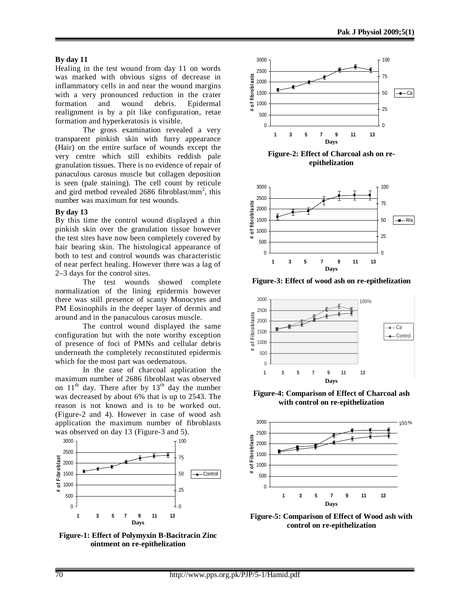#### **By day 11**

Healing in the test wound from day 11 on words was marked with obvious signs of decrease in inflammatory cells in and near the wound margins with a very pronounced reduction in the crater formation and wound debris. Epidermal realignment is by a pit like configuration, retae formation and hyperkeratosis is visible.

The gross examination revealed a very transparent pinkish skin with furry appearance (Hair) on the entire surface of wounds except the very centre which still exhibits reddish pale granulation tissues. There is no evidence of repair of panaculous carosus muscle but collagen deposition is seen (pale staining). The cell count by reticule and gird method revealed  $2686$  fibroblast/mm<sup>2</sup>, this number was maximum for test wounds.

#### **By day 13**

By this time the control wound displayed a thin pinkish skin over the granulation tissue however the test sites have now been completely covered by hair bearing skin. The histological appearance of both to test and control wounds was characteristic of near perfect healing. However there was a lag of 2–3 days for the control sites.

The test wounds showed complete normalization of the lining epidermis however there was still presence of scanty Monocytes and PM Eosinophils in the deeper layer of dermis and around and in the panaculous carosus muscle.

The control wound displayed the same configuration but with the note worthy exception of presence of foci of PMNs and cellular debris underneath the completely reconstituted epidermis which for the most part was oedematous.

In the case of charcoal application the maximum number of 2686 fibroblast was observed on  $11<sup>th</sup>$  day. There after by  $13<sup>th</sup>$  day the number was decreased by about 6% that is up to 2543. The reason is not known and is to be worked out. (Figure-2 and 4). However in case of wood ash application the maximum number of fibroblasts was observed on day 13 (Figure-3 and 5).



**Figure-1: Effect of Polymyxin B-Bacitracin Zinc ointment on re-epithelization**





**Figure-3: Effect of wood ash on re-epithelization**



**Figure-4: Comparison of Effect of Charcoal ash with control on re-epithelization**



**Figure-5: Comparison of Effect of Wood ash with control on re-epithelization**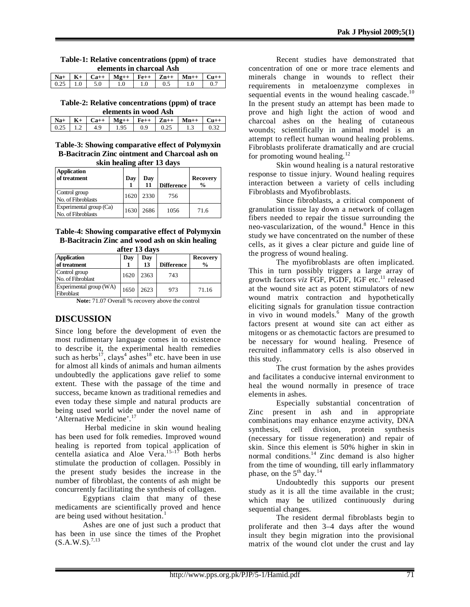#### **Table-1: Relative concentrations (ppm) of trace elements in charcoal Ash**

| eichneilts in einn eom Tish |         |  |                      |  |           |        |                  |
|-----------------------------|---------|--|----------------------|--|-----------|--------|------------------|
| $Na+$                       | $K_{+}$ |  | $Ca++$   Mg++   Fe++ |  | $Z_{n++}$ | $Mn++$ | $C_{\text{H}} +$ |
| 0.25                        | 1.0     |  |                      |  |           |        |                  |

**Table-2: Relative concentrations (ppm) of trace elements in wood Ash**

| elements in wood Ash |  |           |        |     |             |        |                 |
|----------------------|--|-----------|--------|-----|-------------|--------|-----------------|
| $Na+$                |  | $C_{2++}$ | $Mg++$ |     | $Fe++$ Zn++ | $Mn++$ | $C_{H \pm \pm}$ |
|                      |  | 49        | 1.95   | 0.9 | 0.25        |        |                 |

**Table-3: Showing comparative effect of Polymyxin B-Bacitracin Zinc ointment and Charcoal ash on skin healing after 13 days**

| <b>Application</b><br>of treatment            | Day  | Dav<br>11 | <b>Difference</b> | <b>Recovery</b><br>$\frac{0}{0}$ |
|-----------------------------------------------|------|-----------|-------------------|----------------------------------|
| Control group<br>No. of Fibroblasts           | 1620 | 2330      | 756               |                                  |
| Experimental group (Ca)<br>No. of Fibroblasts | 1630 | 2686      | 1056              | 71.6                             |

#### **Table-4: Showing comparative effect of Polymyxin B-Bacitracin Zinc and wood ash on skin healing after 13 days**

| alter 15 days                         |      |      |                   |                 |  |  |
|---------------------------------------|------|------|-------------------|-----------------|--|--|
| <b>Application</b>                    | Day  | Day  |                   | <b>Recovery</b> |  |  |
| of treatment                          |      | 13   | <b>Difference</b> | $\frac{0}{0}$   |  |  |
| Control group<br>No. of Fibroblast    | 1620 | 2363 | 743               |                 |  |  |
| Experimental group (WA)<br>Fibroblast | 1650 | 2623 | 973               | 71.16           |  |  |

**Note:** 71.07 Overall % recovery above the control

## **DISCUSSION**

Since long before the development of even the most rudimentary language comes in to existence to describe it, the experimental health remedies such as herbs<sup>17</sup>, clays<sup>4</sup> ashes<sup>18</sup> etc. have been in use for almost all kinds of animals and human ailments undoubtedly the applications gave relief to some extent. These with the passage of the time and success, became known as traditional remedies and even today these simple and natural products are being used world wide under the novel name of 'Alternative Medicine'. 17

 Herbal medicine in skin wound healing has been used for folk remedies. Improved wound healing is reported from topical application of centella asiatica and Aloe Vera.<sup>15-17</sup> Both herbs stimulate the production of collagen. Possibly in the present study besides the increase in the number of fibroblast, the contents of ash might be concurrently facilitating the synthesis of collagen.

Egyptians claim that many of these medicaments are scientifically proved and hence are being used without hesitation.<sup>1</sup>

Ashes are one of just such a product that has been in use since the times of the Prophet  $(S.A.W.S).^{7,13}$ 

Recent studies have demonstrated that concentration of one or more trace elements and minerals change in wounds to reflect their requirements in metaloenzyme complexes in sequential events in the wound healing cascade. $^{10}$ In the present study an attempt has been made to prove and high light the action of wood and charcoal ashes on the healing of cutaneous wounds; scientifically in animal model is an attempt to reflect human wound healing problems. Fibroblasts proliferate dramatically and are crucial for promoting wound healing.<sup>12</sup>

Skin wound healing is a natural restorative response to tissue injury. Wound healing requires interaction between a variety of cells including Fibroblasts and Myofibroblasts.

Since fibroblasts, a critical component of granulation tissue lay down a network of collagen fibers needed to repair the tissue surrounding the neo-vascularization, of the wound. <sup>8</sup> Hence in this study we have concentrated on the number of these cells, as it gives a clear picture and guide line of the progress of wound healing.

The myofibroblasts are often implicated. This in turn possibly triggers a large array of growth factors *viz* FGF, PGDF, IGF etc. <sup>11</sup> released at the wound site act as potent stimulators of new wound matrix contraction and hypothetically eliciting signals for granulation tissue contraction in vivo in wound models. 6 Many of the growth factors present at wound site can act either as mitogens or as chemotactic factors are presumed to be necessary for wound healing. Presence of recruited inflammatory cells is also observed in this study.

The crust formation by the ashes provides and facilitates a conducive internal environment to heal the wound normally in presence of trace elements in ashes.

Especially substantial concentration of Zinc present in ash and in appropriate combinations may enhance enzyme activity, DNA synthesis, cell division, protein synthesis (necessary for tissue regeneration) and repair of skin. Since this element is 50% higher in skin in normal conditions.<sup>14</sup> Zinc demand is also higher from the time of wounding, till early inflammatory phase, on the  $5<sup>th</sup>$  day.<sup>14</sup>

Undoubtedly this supports our present study as it is all the time available in the crust; which may be utilized continuously during sequential changes.

The resident dermal fibroblasts begin to proliferate and then 3–4 days after the wound insult they begin migration into the provisional matrix of the wound clot under the crust and lay